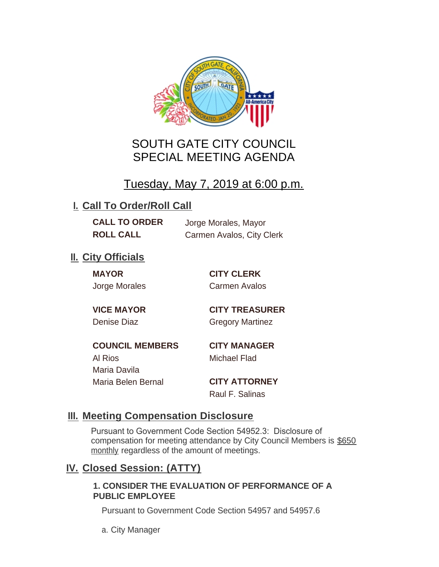

# SOUTH GATE CITY COUNCIL SPECIAL MEETING AGENDA

# Tuesday, May 7, 2019 at 6:00 p.m.

# **I. Call To Order/Roll Call**

**CALL TO ORDER** Jorge Morales, Mayor

**ROLL CALL** Carmen Avalos, City Clerk

## **II.** City Officials

**MAYOR CITY CLERK**

Jorge Morales Carmen Avalos

**VICE MAYOR CITY TREASURER** Denise Diaz Gregory Martinez

**COUNCIL MEMBERS CITY MANAGER** Al Rios Michael Flad Maria Davila Maria Belen Bernal **CITY ATTORNEY**

Raul F. Salinas

### **Meeting Compensation Disclosure III.**

Pursuant to Government Code Section 54952.3: Disclosure of compensation for meeting attendance by City Council Members is \$650 monthly regardless of the amount of meetings.

## **Closed Session: (ATTY) IV.**

#### **1. CONSIDER THE EVALUATION OF PERFORMANCE OF A PUBLIC EMPLOYEE**

Pursuant to Government Code Section 54957 and 54957.6

a. City Manager